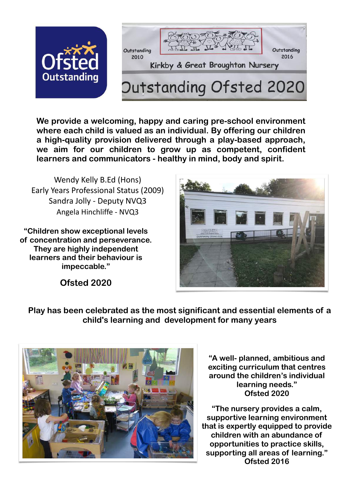

**We provide a welcoming, happy and caring pre-school environment where each child is valued as an individual. By offering our children a high-quality provision delivered through a play-based approach, we aim for our children to grow up as competent, confident learners and communicators - healthy in mind, body and spirit.** 

Wendy Kelly B.Ed (Hons) Early Years Professional Status (2009) Sandra Jolly - Deputy NVQ3 Angela Hinchliffe - NVQ3

**"Children show exceptional levels of concentration and perseverance. They are highly independent learners and their behaviour is impeccable."**



**Ofsted 2020**

**Play has been celebrated as the most significant and essential elements of a child's learning and development for many years**



**"A well- planned, ambitious and exciting curriculum that centres around the children's individual learning needs." Ofsted 2020**

**"The nursery provides a calm, supportive learning environment that is expertly equipped to provide children with an abundance of opportunities to practice skills, supporting all areas of learning." Ofsted 2016**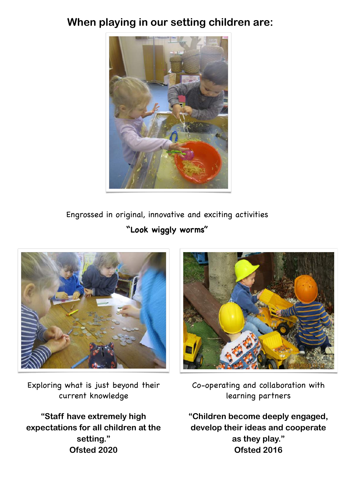## **When playing in our setting children are:**



Engrossed in original, innovative and exciting activities **"Look wiggly worms"**



Exploring what is just beyond their current knowledge

**"Staff have extremely high expectations for all children at the setting." Ofsted 2020**



Co-operating and collaboration with learning partners

**"Children become deeply engaged, develop their ideas and cooperate as they play." Ofsted 2016**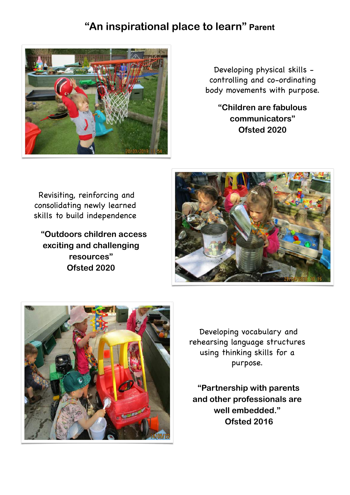## **"An inspirational place to learn" Parent**



Developing physical skills controlling and co-ordinating body movements with purpose.

**"Children are fabulous communicators" Ofsted 2020**

Revisiting, reinforcing and consolidating newly learned skills to build independence

 **"Outdoors children access exciting and challenging resources" Ofsted 2020**





Developing vocabulary and rehearsing language structures using thinking skills for a purpose.

**"Partnership with parents and other professionals are well embedded." Ofsted 2016**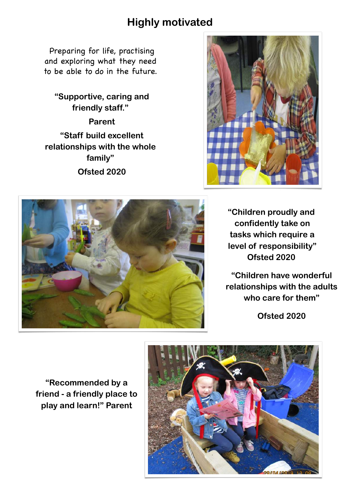## **Highly motivated**

Preparing for life, practising and exploring what they need to be able to do in the future.

**"Supportive, caring and friendly staff."** 

**Parent "Staff build excellent relationships with the whole family" Ofsted 2020**





**"Children proudly and confidently take on tasks which require a level of responsibility" Ofsted 2020**

**"Children have wonderful relationships with the adults who care for them"**

**Ofsted 2020**

**"Recommended by a friend - a friendly place to play and learn!" Parent**